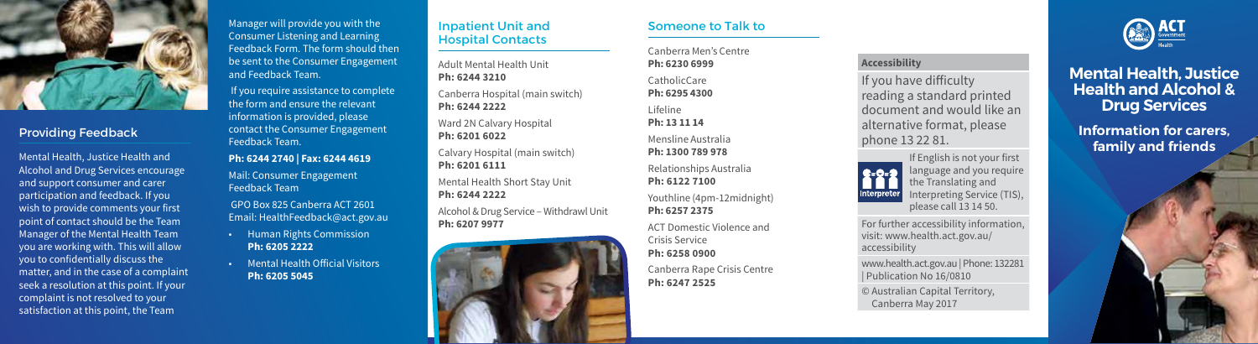

# Providing Feedback

Mental Health, Justice Health and Alcohol and Drug Services encourage and support consumer and carer participation and feedback. If you wish to provide comments your first point of contact should be the Team Manager of the Mental Health Team you are working with. This will allow you to confidentially discuss the matter, and in the case of a complaint seek a resolution at this point. If your complaint is not resolved to your satisfaction at this point, the Team

Manager will provide you with the Consumer Listening and Learning Feedback Form. The form should then be sent to the Consumer Engagement and Feedback Team.

 If you require assistance to complete the form and ensure the relevant information is provided, please contact the Consumer Engagement Feedback Team.

#### **Ph: 6244 2740 | Fax: 6244 4619**

Mail: Consumer Engagement Feedback Team

 GPO Box 825 Canberra ACT 2601 Email: HealthFeedback@act.gov.au

- Human Rights Commission **Ph: 6205 2222**
- Mental Health Official Visitors **Ph: 6205 5045**

### Inpatient Unit and Hospital Contacts

Adult Mental Health Unit **Ph: 6244 3210** Canberra Hospital (main switch)

**Ph: 6244 2222**

Ward 2N Calvary Hospital **Ph: 6201 6022**

Calvary Hospital (main switch) **Ph: 6201 6111**

Mental Health Short Stay Unit **Ph: 6244 2222**

Alcohol & Drug Service – Withdrawl Unit **Ph: 6207 9977**



#### Someone to Talk to

Canberra Men's Centre **Ph: 6230 6999** CatholicCare **Ph: 6295 4300** Lifeline **Ph: 13 11 14** Mensline Australia **Ph: 1300 789 978** Relationships Australia **Ph: 6122 7100**

Youthline (4pm-12midnight) **Ph: 6257 2375**

ACT Domestic Violence and Crisis Service **Ph: 6258 0900**

Canberra Rape Crisis Centre **Ph: 6247 2525**

## **Accessibility**

If you have difficulty reading a standard printed document and would like an alternative format, please phone 13 22 81.



For further accessibility information, visit: www.health.act.gov.au/ accessibility

www.health.act.gov.au | Phone: 132281 | Publication No 16/0810

© Australian Capital Territory, Canberra May 2017



# **Mental Health, Justice Health and Alcohol & Drug Services**

**Information for carers, family and friends**